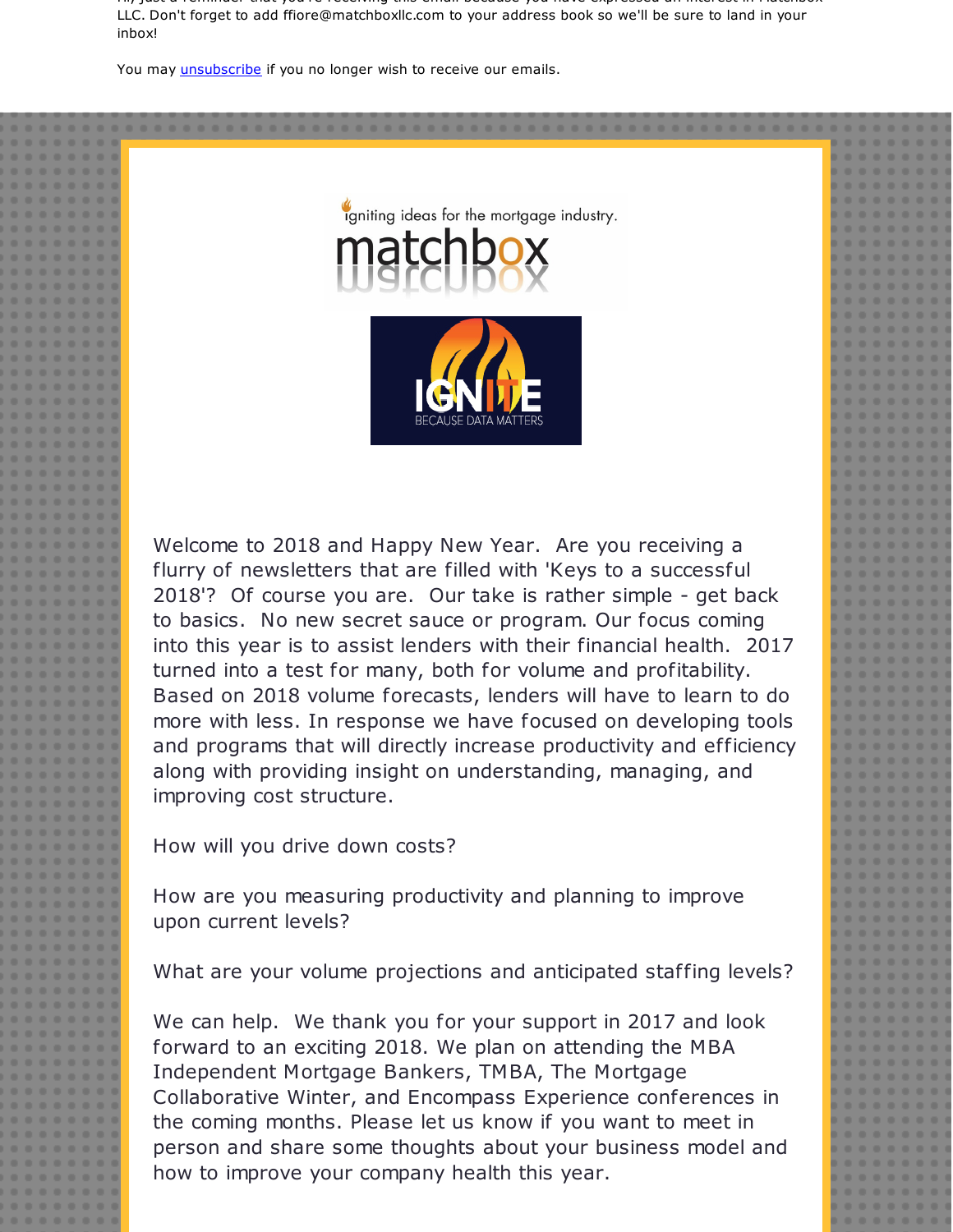Hi, just a reminder that you're receiving this email because you have expressed an interest in Matchbox LLC. Don't forget to add ffiore@matchboxllc.com to your address book so we'll be sure to land in your inbox!

You may *[unsubscribe](https://visitor.constantcontact.com/do?p=un&m=001B1MbCl1BZX5WT93PZZ-ZrQ%3D%3D&ch=&ca=d2f8b800-93ba-4d07-840e-7e5937db6874)* if you no longer wish to receive our emails.



igniting ideas for the mortgage industry.

Welcome to 2018 and Happy New Year. Are you receiving a flurry of newsletters that are filled with 'Keys to a successful 2018'? Of course you are. Our take is rather simple - get back to basics. No new secret sauce or program. Our focus coming into this year is to assist lenders with their financial health. 2017 turned into a test for many, both for volume and profitability. Based on 2018 volume forecasts, lenders will have to learn to do more with less. In response we have focused on developing tools and programs that will directly increase productivity and efficiency along with providing insight on understanding, managing, and improving cost structure.

How will you drive down costs?

How are you measuring productivity and planning to improve upon current levels?

What are your volume projections and anticipated staffing levels?

We can help. We thank you for your support in 2017 and look forward to an exciting 2018. We plan on attending the MBA Independent Mortgage Bankers, TMBA, The Mortgage Collaborative Winter, and Encompass Experience conferences in the coming months. Please let us know if you want to meet in person and share some thoughts about your business model and how to improve your company health this year.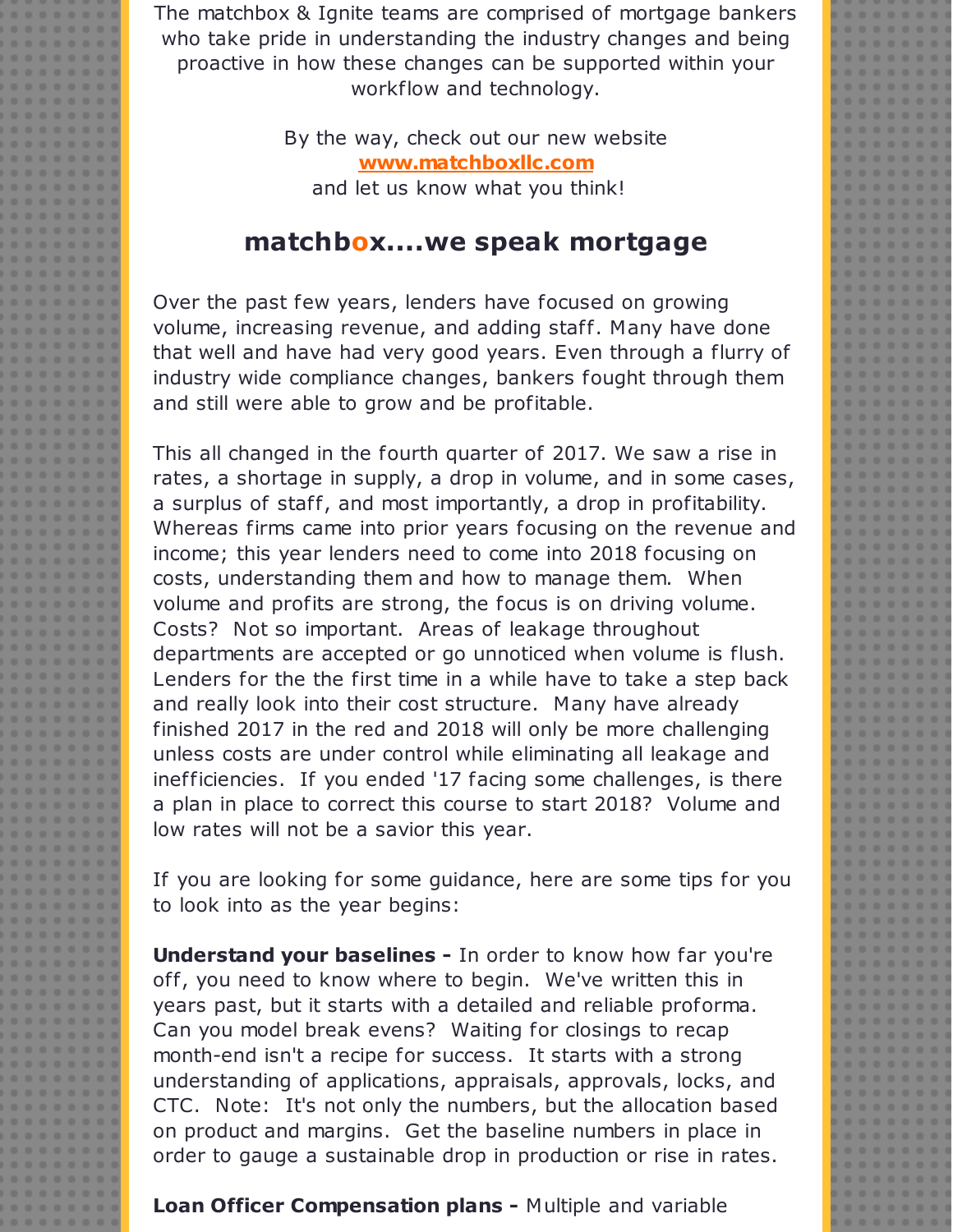The matchbox & Ignite teams are comprised of mortgage bankers who take pride in understanding the industry changes and being proactive in how these changes can be supported within your workflow and technology.

> By the way, check out our new website **[www.matchboxllc.com](http://r20.rs6.net/tn.jsp?f=001RiwYU8xjq8XYpyVXMo2wyOk4azvwS3Lr10h0gNxWprqev1lQ7uBH7Og-XtYuxmIloRq6hDTf1p3pOAcrkZxyklL7Ou_jGGaqz1VW5mmv8CS10mt4wNd935j5ach5--9A-sInVaoji2SYdeltFftJWHjx6rehjAIIO3D_JwEWETD2cxhySuc-8U1SnljsMtoW7xFq7LzcACiBpwsCl1348uEAvjwu_7esq3FGVsgLQwjsNObCeN866zbBBjy7s1xrADumHJtNgvltm_zKd-bmcTzMbwJoMt-6ca2H_oDymT3sUVclAg29tgdJ-upWn4QqcdjQwaI8rSTQuIYCopGF1A==&c=&ch=)** and let us know what you think!

## **matchbox....we speak mortgage**

Over the past few years, lenders have focused on growing volume, increasing revenue, and adding staff. Many have done that well and have had very good years. Even through a flurry of industry wide compliance changes, bankers fought through them and still were able to grow and be profitable.

This all changed in the fourth quarter of 2017. We saw a rise in rates, a shortage in supply, a drop in volume, and in some cases, a surplus of staff, and most importantly, a drop in profitability. Whereas firms came into prior years focusing on the revenue and income; this year lenders need to come into 2018 focusing on costs, understanding them and how to manage them. When volume and profits are strong, the focus is on driving volume. Costs? Not so important. Areas of leakage throughout departments are accepted or go unnoticed when volume is flush. Lenders for the the first time in a while have to take a step back and really look into their cost structure. Many have already finished 2017 in the red and 2018 will only be more challenging unless costs are under control while eliminating all leakage and inefficiencies. If you ended '17 facing some challenges, is there a plan in place to correct this course to start 2018? Volume and low rates will not be a savior this year.

If you are looking for some guidance, here are some tips for you to look into as the year begins:

**Understand your baselines -** In order to know how far you're off, you need to know where to begin. We've written this in years past, but it starts with a detailed and reliable proforma. Can you model break evens? Waiting for closings to recap month-end isn't a recipe for success. It starts with a strong understanding of applications, appraisals, approvals, locks, and CTC. Note: It's not only the numbers, but the allocation based on product and margins. Get the baseline numbers in place in order to gauge a sustainable drop in production or rise in rates.

**Loan Officer Compensation plans -** Multiple and variable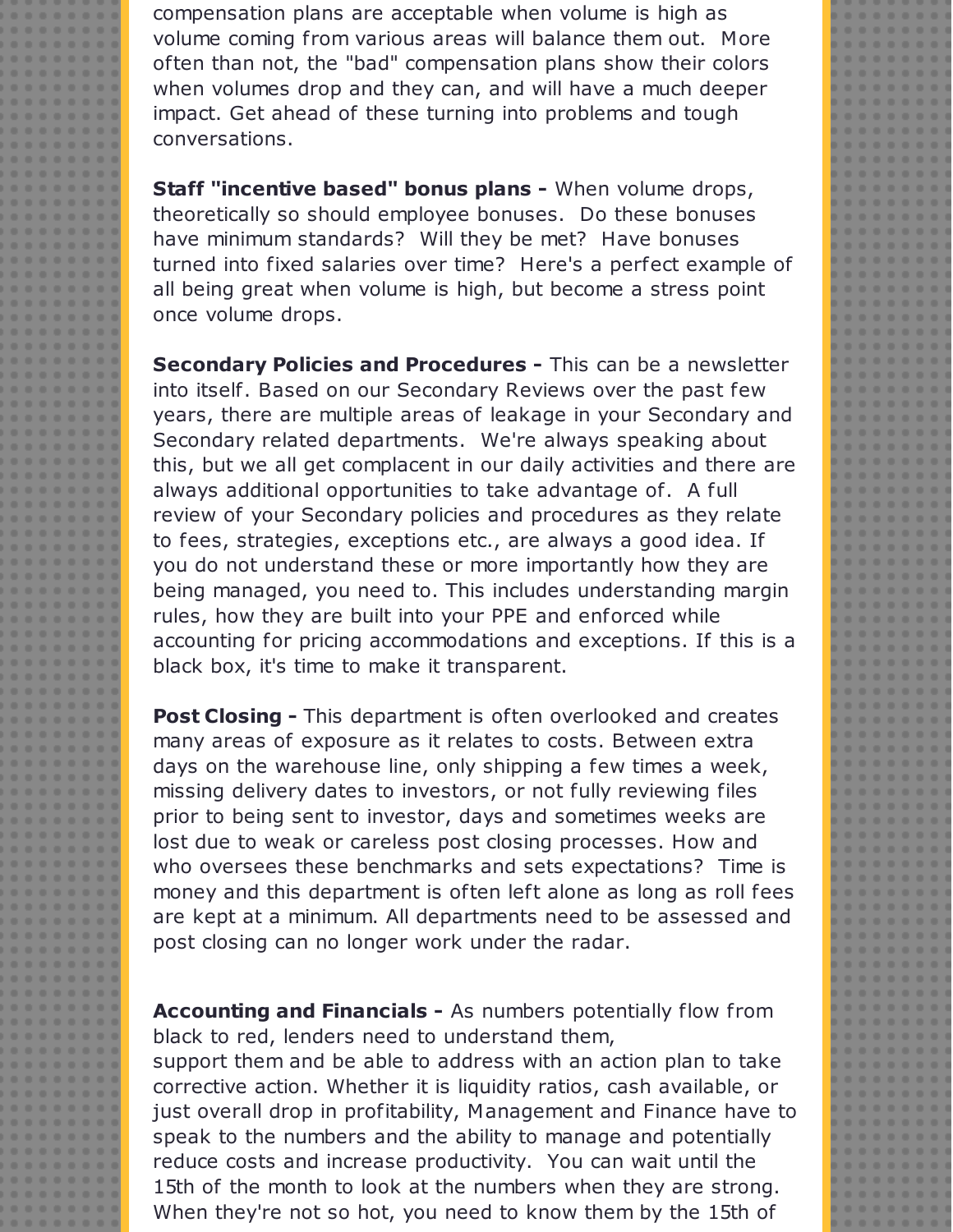compensation plans are acceptable when volume is high as volume coming from various areas will balance them out. More often than not, the "bad" compensation plans show their colors when volumes drop and they can, and will have a much deeper impact. Get ahead of these turning into problems and tough conversations.

**Staff "incentive based" bonus plans -** When volume drops, theoretically so should employee bonuses. Do these bonuses have minimum standards? Will they be met? Have bonuses turned into fixed salaries over time? Here's a perfect example of all being great when volume is high, but become a stress point once volume drops.

**Secondary Policies and Procedures -** This can be a newsletter into itself. Based on our Secondary Reviews over the past few years, there are multiple areas of leakage in your Secondary and Secondary related departments. We're always speaking about this, but we all get complacent in our daily activities and there are always additional opportunities to take advantage of. A full review of your Secondary policies and procedures as they relate to fees, strategies, exceptions etc., are always a good idea. If you do not understand these or more importantly how they are being managed, you need to. This includes understanding margin rules, how they are built into your PPE and enforced while accounting for pricing accommodations and exceptions. If this is a black box, it's time to make it transparent.

**Post Closing -** This department is often overlooked and creates many areas of exposure as it relates to costs. Between extra days on the warehouse line, only shipping a few times a week, missing delivery dates to investors, or not fully reviewing files prior to being sent to investor, days and sometimes weeks are lost due to weak or careless post closing processes. How and who oversees these benchmarks and sets expectations? Time is money and this department is often left alone as long as roll fees are kept at a minimum. All departments need to be assessed and post closing can no longer work under the radar.

**Accounting and Financials -** As numbers potentially flow from black to red, lenders need to understand them,

support them and be able to address with an action plan to take corrective action. Whether it is liquidity ratios, cash available, or just overall drop in profitability, Management and Finance have to speak to the numbers and the ability to manage and potentially reduce costs and increase productivity. You can wait until the 15th of the month to look at the numbers when they are strong. When they're not so hot, you need to know them by the 15th of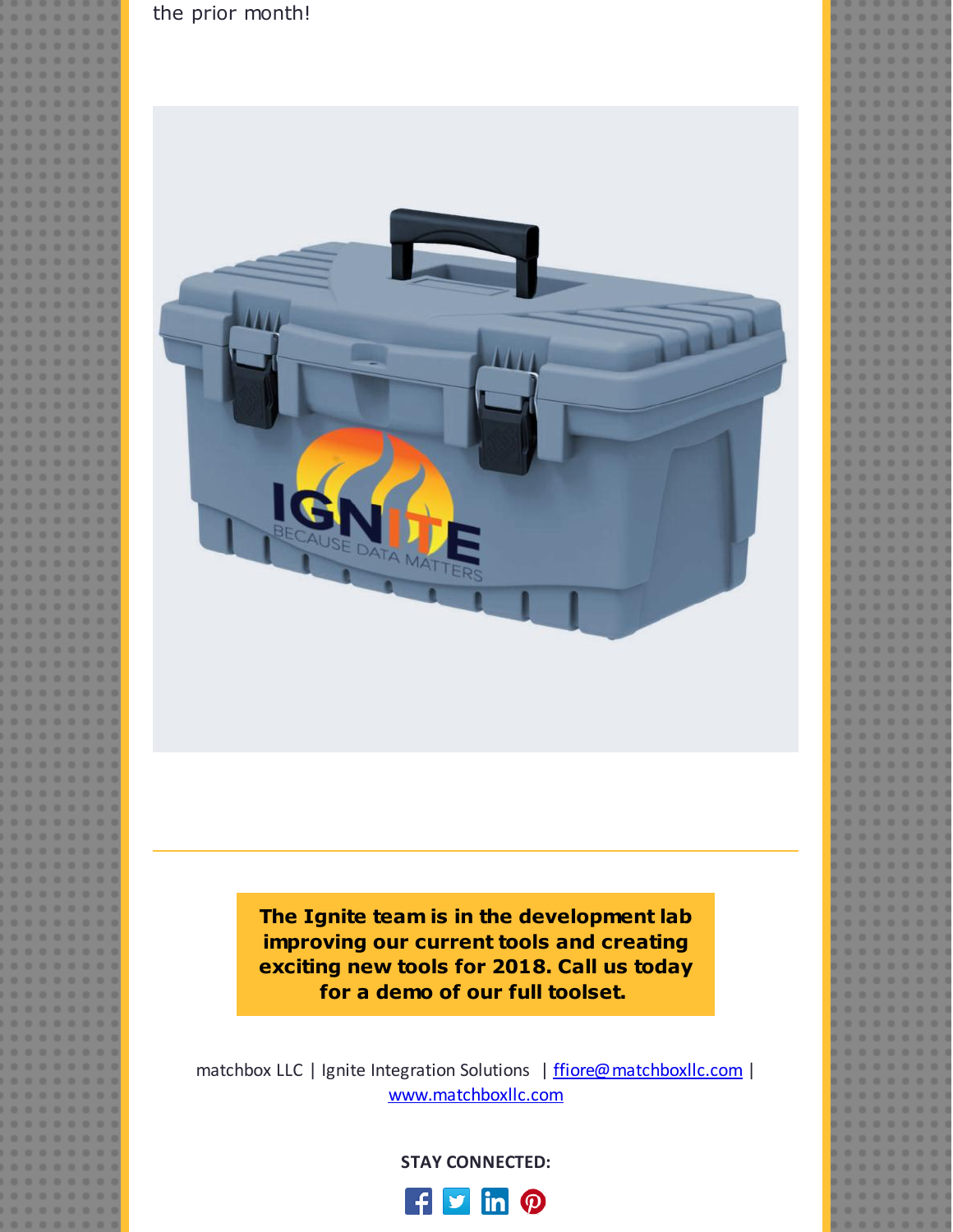

the prior month!

matchbox LLC | Ignite Integration Solutions | [ffiore@matchboxllc.com](mailto:ffiore@matchboxllc.com) | [www.matchboxllc.com](http://r20.rs6.net/tn.jsp?f=001RiwYU8xjq8XYpyVXMo2wyOk4azvwS3Lr10h0gNxWprqev1lQ7uBH7Og-XtYuxmIloRq6hDTf1p3pOAcrkZxyklL7Ou_jGGaqz1VW5mmv8CS10mt4wNd935j5ach5--9A-sInVaoji2SYdeltFftJWHjx6rehjAIIO3D_JwEWETD2cxhySuc-8U1SnljsMtoW7xFq7LzcACiBpwsCl1348uEAvjwu_7esq3FGVsgLQwjsNObCeN866zbBBjy7s1xrADumHJtNgvltm_zKd-bmcTzMbwJoMt-6ca2H_oDymT3sUVclAg29tgdJ-upWn4QqcdjQwaI8rSTQuIYCopGF1A==&c=&ch=)